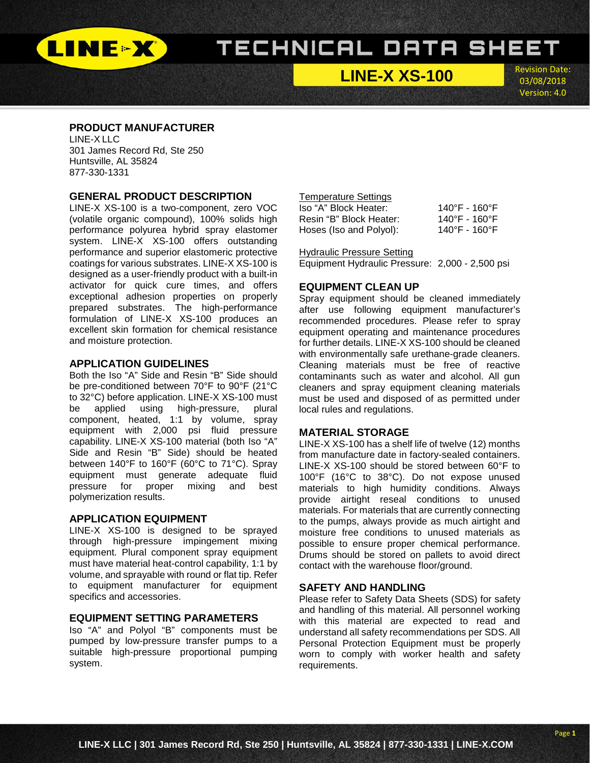

**LINE-X XS-100**

Revision Date: 03/08/2018 Version: 4.0

l

### **PRODUCT MANUFACTURER**

LINE-X LLC 301 James Record Rd, Ste 250 Huntsville, AL 35824 877-330-1331

### **GENERAL PRODUCT DESCRIPTION**

LINE-X XS-100 is a two-component, zero VOC (volatile organic compound), 100% solids high performance polyurea hybrid spray elastomer system. LINE-X XS-100 offers outstanding performance and superior elastomeric protective coatings for various substrates. LINE-X XS-100 is designed as a user-friendly product with a built-in activator for quick cure times, and offers exceptional adhesion properties on properly prepared substrates. The high-performance formulation of LINE-X XS-100 produces an excellent skin formation for chemical resistance and moisture protection.

### **APPLICATION GUIDELINES**

Both the Iso "A" Side and Resin "B" Side should be pre-conditioned between 70°F to 90°F (21°C to 32°C) before application. LINE-X XS-100 must be applied using high-pressure, plural component, heated, 1:1 by volume, spray equipment with 2,000 psi fluid pressure capability. LINE-X XS-100 material (both Iso "A" Side and Resin "B" Side) should be heated between 140°F to 160°F (60°C to 71°C). Spray equipment must generate adequate fluid pressure for proper mixing and best polymerization results.

### **APPLICATION EQUIPMENT**

LINE-X XS-100 is designed to be sprayed through high-pressure impingement mixing equipment. Plural component spray equipment must have material heat-control capability, 1:1 by volume, and sprayable with round or flat tip. Refer to equipment manufacturer for equipment specifics and accessories.

### **EQUIPMENT SETTING PARAMETERS**

Iso "A" and Polyol "B" components must be pumped by low-pressure transfer pumps to a suitable high-pressure proportional pumping system.

### Temperature Settings<br>Iso "A" Block Heater:

| Iso "A" Block Heater:   | $140^{\circ}$ F - 160°F            |
|-------------------------|------------------------------------|
| Resin "B" Block Heater: | 140°F - 160°F                      |
| Hoses (Iso and Polyol): | $140^{\circ}$ F - 160 $^{\circ}$ F |

#### Hydraulic Pressure Setting

Equipment Hydraulic Pressure: 2,000 - 2,500 psi

### **EQUIPMENT CLEAN UP**

Spray equipment should be cleaned immediately after use following equipment manufacturer's recommended procedures. Please refer to spray equipment operating and maintenance procedures for further details. LINE-X XS-100 should be cleaned with environmentally safe urethane-grade cleaners. Cleaning materials must be free of reactive contaminants such as water and alcohol. All gun cleaners and spray equipment cleaning materials must be used and disposed of as permitted under local rules and regulations.

### **MATERIAL STORAGE**

LINE-X XS-100 has a shelf life of twelve (12) months from manufacture date in factory-sealed containers. LINE-X XS-100 should be stored between 60°F to 100°F (16°C to 38°C). Do not expose unused materials to high humidity conditions. Always provide airtight reseal conditions to unused materials. For materials that are currently connecting to the pumps, always provide as much airtight and moisture free conditions to unused materials as possible to ensure proper chemical performance. Drums should be stored on pallets to avoid direct contact with the warehouse floor/ground.

### **SAFETY AND HANDLING**

Please refer to Safety Data Sheets (SDS) for safety and handling of this material. All personnel working with this material are expected to read and understand all safety recommendations per SDS. All Personal Protection Equipment must be properly worn to comply with worker health and safety requirements.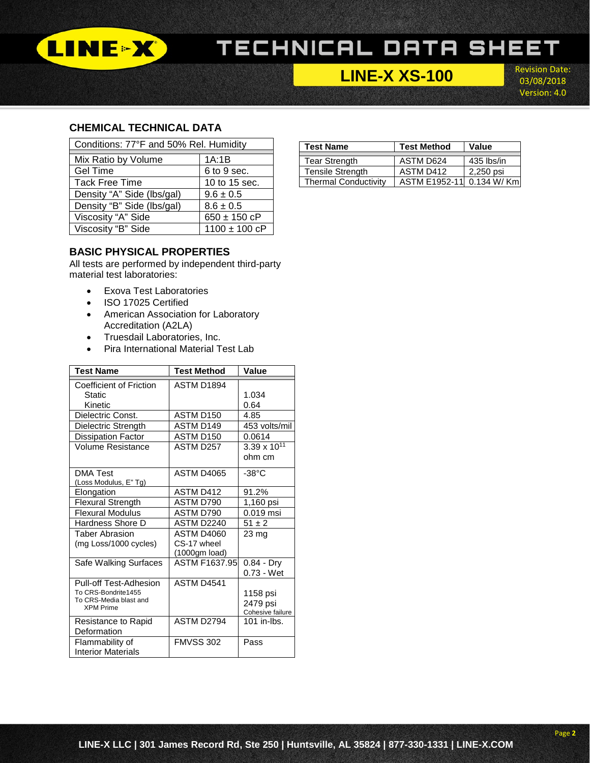

### **LINE-X XS-100**

Revision Date: 03/08/2018 Version: 4.0

l

### **CHEMICAL TECHNICAL DATA**

| Conditions: 77°F and 50% Rel. Humidity |                   |  |  |  |
|----------------------------------------|-------------------|--|--|--|
| Mix Ratio by Volume                    | 1A:1B             |  |  |  |
| <b>Gel Time</b>                        | 6 to 9 sec.       |  |  |  |
| <b>Tack Free Time</b>                  | 10 to 15 sec.     |  |  |  |
| Density "A" Side (lbs/gal)             | $9.6 \pm 0.5$     |  |  |  |
| Density "B" Side (lbs/gal)             | $8.6 \pm 0.5$     |  |  |  |
| Viscosity "A" Side                     | $650 \pm 150$ cP  |  |  |  |
| Viscosity "B" Side                     | $1100 \pm 100$ cP |  |  |  |

### **BASIC PHYSICAL PROPERTIES**

All tests are performed by independent third-party material test laboratories:

- Exova Test Laboratories
- ISO 17025 Certified
- American Association for Laboratory Accreditation (A2LA)
- Truesdail Laboratories, Inc.
- Pira International Material Test Lab

| <b>Test Name</b>                           | <b>Test Method</b> | Value                 |
|--------------------------------------------|--------------------|-----------------------|
| Coefficient of Friction                    | ASTM D1894         |                       |
| Static                                     |                    | 1.034                 |
| Kinetic                                    |                    | 0.64                  |
| Dielectric Const.                          | ASTM D150          | 4.85                  |
| Dielectric Strength                        | ASTM D149          | 453 volts/mil         |
| Dissipation Factor                         | ASTM D150          | 0.0614                |
| Volume Resistance                          | ASTM D257          | $3.39 \times 10^{11}$ |
|                                            |                    | ohm cm                |
| <b>DMA Test</b>                            | ASTM D4065         | $-38^{\circ}$ C       |
| (Loss Modulus, E" Tg)                      |                    |                       |
| Elongation                                 | ASTM D412          | 91.2%                 |
| <b>Flexural Strength</b>                   | ASTM D790          | 1,160 psi             |
| <b>Flexural Modulus</b>                    | ASTM D790          | $0.019$ msi           |
| Hardness Shore D                           | ASTM D2240         | $51 \pm 2$            |
| Taber Abrasion                             | <b>ASTM D4060</b>  | 23 mg                 |
| (mg Loss/1000 cycles)                      | CS-17 wheel        |                       |
|                                            | (1000gm load)      |                       |
| Safe Walking Surfaces                      | ASTM F1637.95      | $0.84 - Dry$          |
|                                            |                    | $0.73 - Wet$          |
| Pull-off Test-Adhesion                     | ASTM D4541         |                       |
| To CRS-Bondrite1455                        |                    | 1158 psi              |
| To CRS-Media blast and<br><b>XPM Prime</b> |                    | 2479 psi              |
|                                            |                    | Cohesive failure      |
| Resistance to Rapid                        | ASTM D2794         | 101 in-lbs.           |
| Deformation                                |                    |                       |
| Flammability of                            | <b>FMVSS 302</b>   | Pass                  |
| <b>Interior Materials</b>                  |                    |                       |

| <b>Test Name</b>            | <b>Test Method</b>   | Value       |  |
|-----------------------------|----------------------|-------------|--|
|                             |                      |             |  |
| <b>Tear Strength</b>        | ASTM D624            | 435 lbs/in  |  |
| <b>Tensile Strength</b>     | ASTM D412            | 2,250 psi   |  |
| <b>Thermal Conductivity</b> | <b>ASTM E1952-11</b> | 0.134 W/ Km |  |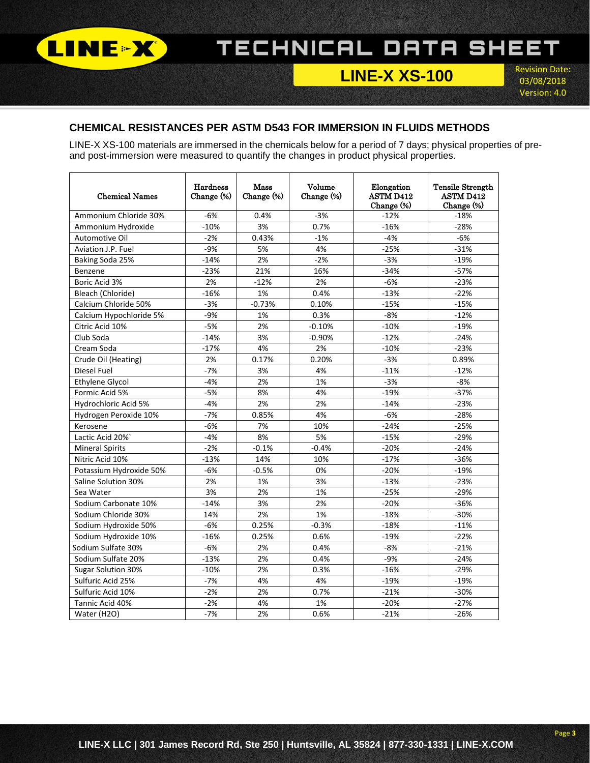

**LINE-X XS-100**

Revision Date: 03/08/2018 Version: 4.0

l

### **CHEMICAL RESISTANCES PER ASTM D543 FOR IMMERSION IN FLUIDS METHODS**

LINE-X XS-100 materials are immersed in the chemicals below for a period of 7 days; physical properties of preand post-immersion were measured to quantify the changes in product physical properties.

| <b>Chemical Names</b>     | <b>Hardness</b><br>Change (%) | Mass<br>Change (%) | Volume<br>Change (%) | Elongation<br><b>ASTM D412</b><br>Change (%) | <b>Tensile Strength</b><br><b>ASTM D412</b><br>Change (%) |
|---------------------------|-------------------------------|--------------------|----------------------|----------------------------------------------|-----------------------------------------------------------|
| Ammonium Chloride 30%     | $-6%$                         | 0.4%               | $-3%$                | $-12%$                                       | $-18%$                                                    |
| Ammonium Hydroxide        | $-10%$                        | 3%                 | 0.7%                 | $-16%$                                       | $-28%$                                                    |
| Automotive Oil            | $-2%$                         | 0.43%              | $-1%$                | $-4%$                                        | $-6%$                                                     |
| Aviation J.P. Fuel        | $-9%$                         | 5%                 | 4%                   | $-25%$                                       | $-31%$                                                    |
| Baking Soda 25%           | $-14%$                        | 2%                 | $-2%$                | $-3%$                                        | $-19%$                                                    |
| Benzene                   | $-23%$                        | 21%                | 16%                  | $-34%$                                       | $-57%$                                                    |
| Boric Acid 3%             | 2%                            | $-12%$             | 2%                   | $-6%$                                        | $-23%$                                                    |
| Bleach (Chloride)         | $-16%$                        | 1%                 | 0.4%                 | $-13%$                                       | $-22%$                                                    |
| Calcium Chloride 50%      | $-3%$                         | $-0.73%$           | 0.10%                | $-15%$                                       | $-15%$                                                    |
| Calcium Hypochloride 5%   | $-9%$                         | 1%                 | 0.3%                 | $-8%$                                        | $-12%$                                                    |
| Citric Acid 10%           | $-5%$                         | 2%                 | $-0.10%$             | $-10%$                                       | $-19%$                                                    |
| Club Soda                 | $-14%$                        | 3%                 | $-0.90%$             | $-12%$                                       | $-24%$                                                    |
| Cream Soda                | $-17%$                        | 4%                 | 2%                   | $-10%$                                       | $-23%$                                                    |
| Crude Oil (Heating)       | 2%                            | 0.17%              | 0.20%                | $-3%$                                        | 0.89%                                                     |
| Diesel Fuel               | $-7%$                         | 3%                 | 4%                   | $-11%$                                       | $-12%$                                                    |
| Ethylene Glycol           | $-4%$                         | 2%                 | 1%                   | $-3%$                                        | $-8%$                                                     |
| Formic Acid 5%            | $-5%$                         | 8%                 | 4%                   | $-19%$                                       | $-37%$                                                    |
| Hydrochloric Acid 5%      | $-4%$                         | 2%                 | 2%                   | $-14%$                                       | $-23%$                                                    |
| Hydrogen Peroxide 10%     | $-7%$                         | 0.85%              | 4%                   | $-6%$                                        | $-28%$                                                    |
| Kerosene                  | $-6%$                         | 7%                 | 10%                  | $-24%$                                       | $-25%$                                                    |
| Lactic Acid 20%           | $-4%$                         | 8%                 | 5%                   | $-15%$                                       | $-29%$                                                    |
| <b>Mineral Spirits</b>    | $-2%$                         | $-0.1%$            | $-0.4%$              | $-20%$                                       | $-24%$                                                    |
| Nitric Acid 10%           | $-13%$                        | 14%                | 10%                  | $-17%$                                       | $-36%$                                                    |
| Potassium Hydroxide 50%   | $-6%$                         | $-0.5%$            | 0%                   | $-20%$                                       | $-19%$                                                    |
| Saline Solution 30%       | 2%                            | 1%                 | 3%                   | $-13%$                                       | $-23%$                                                    |
| Sea Water                 | 3%                            | 2%                 | 1%                   | $-25%$                                       | $-29%$                                                    |
| Sodium Carbonate 10%      | $-14%$                        | 3%                 | 2%                   | $-20%$                                       | $-36%$                                                    |
| Sodium Chloride 30%       | 14%                           | 2%                 | 1%                   | $-18%$                                       | $-30%$                                                    |
| Sodium Hydroxide 50%      | $-6%$                         | 0.25%              | $-0.3%$              | $-18%$                                       | $-11%$                                                    |
| Sodium Hydroxide 10%      | $-16%$                        | 0.25%              | 0.6%                 | $-19%$                                       | $-22%$                                                    |
| Sodium Sulfate 30%        | $-6%$                         | 2%                 | 0.4%                 | $-8%$                                        | $-21%$                                                    |
| Sodium Sulfate 20%        | $-13%$                        | 2%                 | 0.4%                 | $-9%$                                        | $-24%$                                                    |
| <b>Sugar Solution 30%</b> | $-10%$                        | 2%                 | 0.3%                 | $-16%$                                       | $-29%$                                                    |
| Sulfuric Acid 25%         | $-7%$                         | 4%                 | 4%                   | $-19%$                                       | $-19%$                                                    |
| Sulfuric Acid 10%         | $-2%$                         | 2%                 | 0.7%                 | $-21%$                                       | $-30%$                                                    |
| Tannic Acid 40%           | $-2%$                         | 4%                 | 1%                   | $-20%$                                       | $-27%$                                                    |
| Water (H2O)               | $-7%$                         | 2%                 | 0.6%                 | $-21%$                                       | $-26%$                                                    |